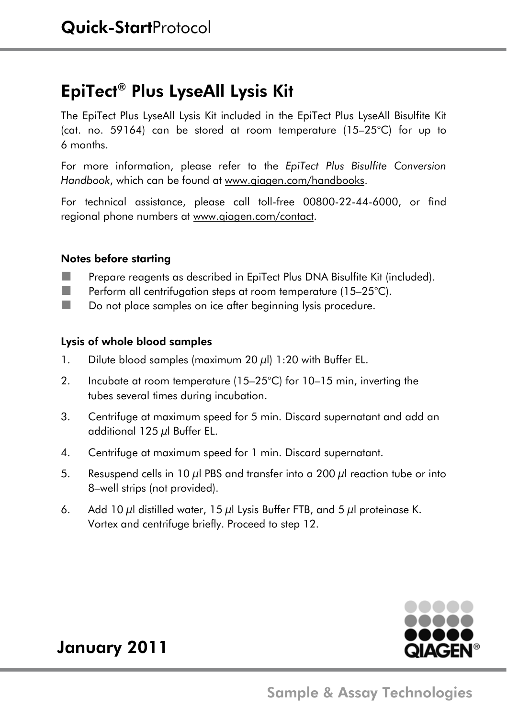# EpiTect® Plus LyseAll Lysis Kit

The EpiTect Plus LyseAll Lysis Kit included in the EpiTect Plus LyseAll Bisulfite Kit (cat. no. 59164) can be stored at room temperature (15–25°C) for up to 6 months.

For more information, please refer to the *EpiTect Plus Bisulfite Conversion Handbook*, which can be found at www.qiagen.com/handbooks.

For technical assistance, please call toll-free 00800-22-44-6000, or find regional phone numbers at www.qiagen.com/contact.

### Notes before starting

- **Prepare reagents as described in EpiTect Plus DNA Bisulfite Kit (included).**
- **Perform all centrifugation steps at room temperature (15–25°C).**
- Do not place samples on ice after beginning lysis procedure.

### Lysis of whole blood samples

- 1. Dilute blood samples (maximum 20  $\mu$ l) 1:20 with Buffer EL.
- 2. Incubate at room temperature (15–25°C) for 10–15 min, inverting the tubes several times during incubation.
- 3. Centrifuge at maximum speed for 5 min. Discard supernatant and add an additional 125 μl Buffer EL.
- 4. Centrifuge at maximum speed for 1 min. Discard supernatant.
- 5. Resuspend cells in 10  $\mu$ l PBS and transfer into a 200  $\mu$ l reaction tube or into 8–well strips (not provided).
- 6. Add 10  $\mu$ l distilled water, 15  $\mu$ l Lysis Buffer FTB, and 5  $\mu$ l proteinase K. Vortex and centrifuge briefly. Proceed to step 12.



# January 2011